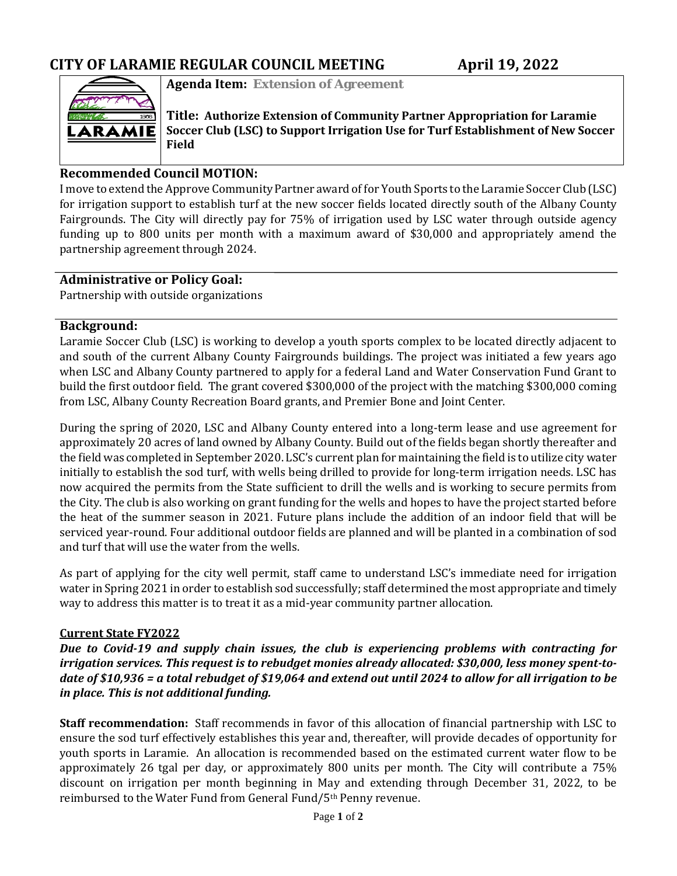

**Agenda Item: Extension of Agreement**

**Title: Authorize Extension of Community Partner Appropriation for Laramie Soccer Club (LSC) to Support Irrigation Use for Turf Establishment of New Soccer Field**

### **Recommended Council MOTION:**

I move to extend the Approve Community Partner award of for Youth Sports to the Laramie Soccer Club (LSC) for irrigation support to establish turf at the new soccer fields located directly south of the Albany County Fairgrounds. The City will directly pay for 75% of irrigation used by LSC water through outside agency funding up to 800 units per month with a maximum award of \$30,000 and appropriately amend the partnership agreement through 2024.

#### **Administrative or Policy Goal:**

Partnership with outside organizations

#### **Background:**

Laramie Soccer Club (LSC) is working to develop a youth sports complex to be located directly adjacent to and south of the current Albany County Fairgrounds buildings. The project was initiated a few years ago when LSC and Albany County partnered to apply for a federal Land and Water Conservation Fund Grant to build the first outdoor field. The grant covered \$300,000 of the project with the matching \$300,000 coming from LSC, Albany County Recreation Board grants, and Premier Bone and Joint Center.

During the spring of 2020, LSC and Albany County entered into a long-term lease and use agreement for approximately 20 acres of land owned by Albany County. Build out of the fields began shortly thereafter and the field was completed in September 2020. LSC's current plan for maintaining the field is to utilize city water initially to establish the sod turf, with wells being drilled to provide for long-term irrigation needs. LSC has now acquired the permits from the State sufficient to drill the wells and is working to secure permits from the City. The club is also working on grant funding for the wells and hopes to have the project started before the heat of the summer season in 2021. Future plans include the addition of an indoor field that will be serviced year-round. Four additional outdoor fields are planned and will be planted in a combination of sod and turf that will use the water from the wells.

As part of applying for the city well permit, staff came to understand LSC's immediate need for irrigation water in Spring 2021 in order to establish sod successfully; staff determined the most appropriate and timely way to address this matter is to treat it as a mid-year community partner allocation.

#### **Current State FY2022**

*Due to Covid-19 and supply chain issues, the club is experiencing problems with contracting for irrigation services. This request is to rebudget monies already allocated: \$30,000, less money spent-todate of \$10,936 = a total rebudget of \$19,064 and extend out until 2024 to allow for all irrigation to be in place. This is not additional funding.*

**Staff recommendation:** Staff recommends in favor of this allocation of financial partnership with LSC to ensure the sod turf effectively establishes this year and, thereafter, will provide decades of opportunity for youth sports in Laramie. An allocation is recommended based on the estimated current water flow to be approximately 26 tgal per day, or approximately 800 units per month. The City will contribute a 75% discount on irrigation per month beginning in May and extending through December 31, 2022, to be reimbursed to the Water Fund from General Fund/5th Penny revenue.